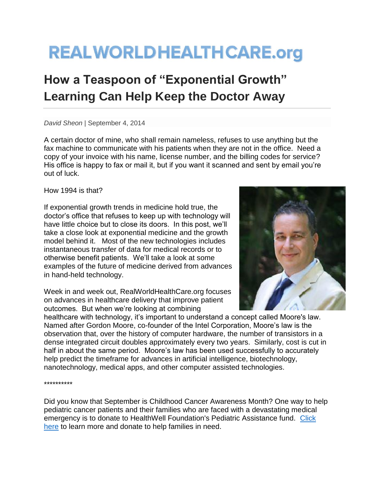## **REALWORLDHEALTHCARE.org**

## **How a Teaspoon of "Exponential Growth" Learning Can Help Keep the Doctor Away**

*David Sheon* | September 4, 2014

A certain doctor of mine, who shall remain nameless, refuses to use anything but the fax machine to communicate with his patients when they are not in the office. Need a copy of your invoice with his name, license number, and the billing codes for service? His office is happy to fax or mail it, but if you want it scanned and sent by email you're out of luck.

How 1994 is that?

If exponential growth trends in medicine hold true, the doctor's office that refuses to keep up with technology will have little choice but to close its doors. In this post, we'll take a close look at exponential medicine and the growth model behind it. Most of the new technologies includes instantaneous transfer of data for medical records or to otherwise benefit patients. We'll take a look at some examples of the future of medicine derived from advances in hand-held technology.

Week in and week out, RealWorldHealthCare.org focuses on advances in healthcare delivery that improve patient outcomes. But when we're looking at combining



healthcare with technology, it's important to understand a concept called Moore's law. Named after Gordon Moore, co-founder of the Intel Corporation, Moore's law is the observation that, over the history of computer hardware, the number of transistors in a dense integrated circuit doubles approximately every two years. Similarly, cost is cut in half in about the same period. Moore's law has been used successfully to accurately help predict the timeframe for advances in artificial intelligence, biotechnology, nanotechnology, medical apps, and other computer assisted technologies.

\*\*\*\*\*\*\*\*\*\*

Did you know that September is Childhood Cancer Awareness Month? One way to help pediatric cancer patients and their families who are faced with a devastating medical emergency is to donate to HealthWell Foundation's Pediatric Assistance fund. [Click](http://healthwellfoundation.org/pediatric-assistance-fund)  [here](http://healthwellfoundation.org/pediatric-assistance-fund) to learn more and donate to help families in need.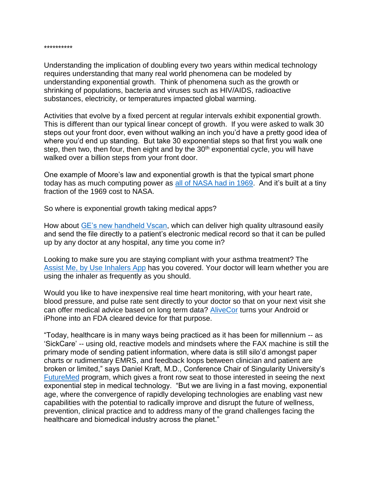\*\*\*\*\*\*\*\*\*\*

Understanding the implication of doubling every two years within medical technology requires understanding that many real world phenomena can be modeled by understanding exponential growth. Think of phenomena such as the growth or shrinking of populations, bacteria and viruses such as HIV/AIDS, radioactive substances, electricity, or temperatures impacted global warming.

Activities that evolve by a fixed percent at regular intervals exhibit exponential growth. This is different than our typical linear concept of growth. If you were asked to walk 30 steps out your front door, even without walking an inch you'd have a pretty good idea of where you'd end up standing. But take 30 exponential steps so that first you walk one step, then two, then four, then eight and by the  $30<sup>th</sup>$  exponential cycle, you will have walked over a billion steps from your front door.

One example of Moore's law and exponential growth is that the typical smart phone today has as much computing power as [all of NASA had in 1969.](http://knopfdoubleday.com/2011/03/14/your-cell-phone/) And it's built at a tiny fraction of the 1969 cost to NASA.

So where is exponential growth taking medical apps?

How about [GE's new handheld Vscan,](https://vscan.gehealthcare.com/introducing-vscan-family) which can deliver high quality ultrasound easily and send the file directly to a patient's electronic medical record so that it can be pulled up by any doctor at any hospital, any time you come in?

Looking to make sure you are staying compliant with your asthma treatment? The [Assist Me, by Use Inhalers App](http://www.imedicalapps.com/2013/03/assist-inhalers-app-asthma-treatment-patients/) has you covered. Your doctor will learn whether you are using the inhaler as frequently as you should.

Would you like to have inexpensive real time heart monitoring, with your heart rate, blood pressure, and pulse rate sent directly to your doctor so that on your next visit she can offer medical advice based on long term data? [AliveCor](http://www.alivecor.com/home) turns your Android or iPhone into an FDA cleared device for that purpose.

"Today, healthcare is in many ways being practiced as it has been for millennium -- as 'SickCare' -- using old, reactive models and mindsets where the FAX machine is still the primary mode of sending patient information, where data is still silo'd amongst paper charts or rudimentary EMRS, and feedback loops between clinician and patient are broken or limited," says Daniel Kraft, M.D., Conference Chair of Singularity University's [FutureMed](http://exponential.singularityu.org/medicine/) program, which gives a front row seat to those interested in seeing the next exponential step in medical technology. "But we are living in a fast moving, exponential age, where the convergence of rapidly developing technologies are enabling vast new capabilities with the potential to radically improve and disrupt the future of wellness, prevention, clinical practice and to address many of the grand challenges facing the healthcare and biomedical industry across the planet."